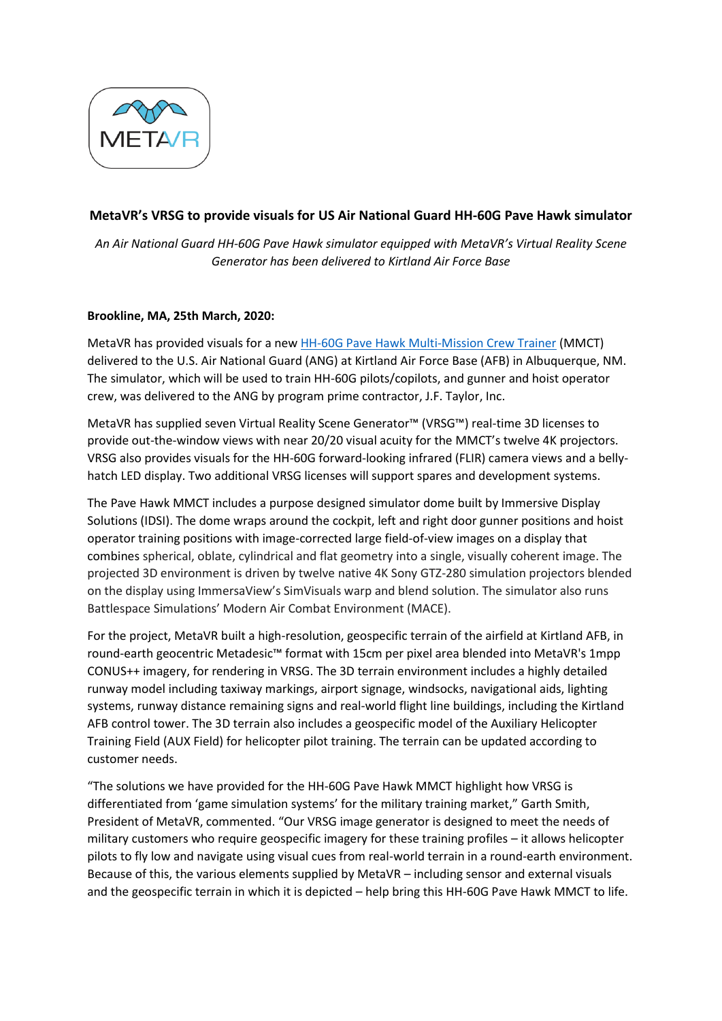

## **MetaVR's VRSG to provide visuals for US Air National Guard HH-60G Pave Hawk simulator**

*An Air National Guard HH-60G Pave Hawk simulator equipped with MetaVR's Virtual Reality Scene Generator has been delivered to Kirtland Air Force Base*

## **Brookline, MA, 25th March, 2020:**

MetaVR has provided visuals for a new HH-60G Pave Hawk [Multi-Mission Crew Trainer](https://www.metavr.com/casestudies/rotary/HH60.html) (MMCT) delivered to the U.S. Air National Guard (ANG) at Kirtland Air Force Base (AFB) in Albuquerque, NM. The simulator, which will be used to train HH-60G pilots/copilots, and gunner and hoist operator crew, was delivered to the ANG by program prime contractor, J.F. Taylor, Inc.

MetaVR has supplied seven Virtual Reality Scene Generator™ (VRSG™) real-time 3D licenses to provide out-the-window views with near 20/20 visual acuity for the MMCT's twelve 4K projectors. VRSG also provides visuals for the HH-60G forward-looking infrared (FLIR) camera views and a bellyhatch LED display. Two additional VRSG licenses will support spares and development systems.

The Pave Hawk MMCT includes a purpose designed simulator dome built by Immersive Display Solutions (IDSI). The dome wraps around the cockpit, left and right door gunner positions and hoist operator training positions with image-corrected large field-of-view images on a display that combines spherical, oblate, cylindrical and flat geometry into a single, visually coherent image. The projected 3D environment is driven by twelve native 4K Sony GTZ-280 simulation projectors blended on the display using ImmersaView's SimVisuals warp and blend solution. The simulator also runs Battlespace Simulations' Modern Air Combat Environment (MACE).

For the project, MetaVR built a high-resolution, geospecific terrain of the airfield at Kirtland AFB, in round-earth geocentric Metadesic™ format with 15cm per pixel area blended into MetaVR's 1mpp CONUS++ imagery, for rendering in VRSG. The 3D terrain environment includes a highly detailed runway model including taxiway markings, airport signage, windsocks, navigational aids, lighting systems, runway distance remaining signs and real-world flight line buildings, including the Kirtland AFB control tower. The 3D terrain also includes a geospecific model of the Auxiliary Helicopter Training Field (AUX Field) for helicopter pilot training. The terrain can be updated according to customer needs.

"The solutions we have provided for the HH-60G Pave Hawk MMCT highlight how VRSG is differentiated from 'game simulation systems' for the military training market," Garth Smith, President of MetaVR, commented. "Our VRSG image generator is designed to meet the needs of military customers who require geospecific imagery for these training profiles – it allows helicopter pilots to fly low and navigate using visual cues from real-world terrain in a round-earth environment. Because of this, the various elements supplied by MetaVR – including sensor and external visuals and the geospecific terrain in which it is depicted – help bring this HH-60G Pave Hawk MMCT to life.